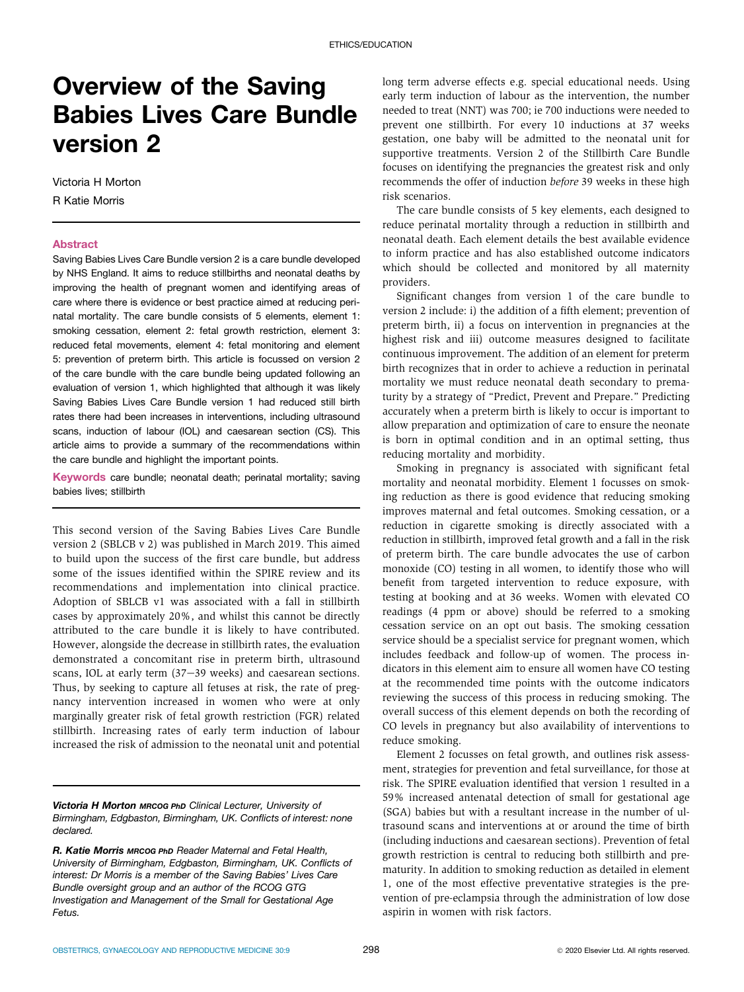## Overview of the Saving Babies Lives Care Bundle version 2

Victoria H Morton R Katie Morris

## Abstract

Saving Babies Lives Care Bundle version 2 is a care bundle developed by NHS England. It aims to reduce stillbirths and neonatal deaths by improving the health of pregnant women and identifying areas of care where there is evidence or best practice aimed at reducing perinatal mortality. The care bundle consists of 5 elements, element 1: smoking cessation, element 2: fetal growth restriction, element 3: reduced fetal movements, element 4: fetal monitoring and element 5: prevention of preterm birth. This article is focussed on version 2 of the care bundle with the care bundle being updated following an evaluation of version 1, which highlighted that although it was likely Saving Babies Lives Care Bundle version 1 had reduced still birth rates there had been increases in interventions, including ultrasound scans, induction of labour (IOL) and caesarean section (CS). This article aims to provide a summary of the recommendations within the care bundle and highlight the important points.

Keywords care bundle; neonatal death; perinatal mortality; saving babies lives; stillbirth

This second version of the Saving Babies Lives Care Bundle version 2 (SBLCB v 2) was published in March 2019. This aimed to build upon the success of the first care bundle, but address some of the issues identified within the SPIRE review and its recommendations and implementation into clinical practice. Adoption of SBLCB v1 was associated with a fall in stillbirth cases by approximately 20%, and whilst this cannot be directly attributed to the care bundle it is likely to have contributed. However, alongside the decrease in stillbirth rates, the evaluation demonstrated a concomitant rise in preterm birth, ultrasound scans, IOL at early term  $(37-39$  weeks) and caesarean sections. Thus, by seeking to capture all fetuses at risk, the rate of pregnancy intervention increased in women who were at only marginally greater risk of fetal growth restriction (FGR) related stillbirth. Increasing rates of early term induction of labour increased the risk of admission to the neonatal unit and potential

Victoria H Morton MRCOG PhD *Clinical Lecturer, University of Birmingham, Edgbaston, Birmingham, UK. Con*fl*icts of interest: none declared.*

long term adverse effects e.g. special educational needs. Using early term induction of labour as the intervention, the number needed to treat (NNT) was 700; ie 700 inductions were needed to prevent one stillbirth. For every 10 inductions at 37 weeks gestation, one baby will be admitted to the neonatal unit for supportive treatments. Version 2 of the Stillbirth Care Bundle focuses on identifying the pregnancies the greatest risk and only recommends the offer of induction before 39 weeks in these high risk scenarios.

The care bundle consists of 5 key elements, each designed to reduce perinatal mortality through a reduction in stillbirth and neonatal death. Each element details the best available evidence to inform practice and has also established outcome indicators which should be collected and monitored by all maternity providers.

Significant changes from version 1 of the care bundle to version 2 include: i) the addition of a fifth element; prevention of preterm birth, ii) a focus on intervention in pregnancies at the highest risk and iii) outcome measures designed to facilitate continuous improvement. The addition of an element for preterm birth recognizes that in order to achieve a reduction in perinatal mortality we must reduce neonatal death secondary to prematurity by a strategy of "Predict, Prevent and Prepare." Predicting accurately when a preterm birth is likely to occur is important to allow preparation and optimization of care to ensure the neonate is born in optimal condition and in an optimal setting, thus reducing mortality and morbidity.

Smoking in pregnancy is associated with significant fetal mortality and neonatal morbidity. Element 1 focusses on smoking reduction as there is good evidence that reducing smoking improves maternal and fetal outcomes. Smoking cessation, or a reduction in cigarette smoking is directly associated with a reduction in stillbirth, improved fetal growth and a fall in the risk of preterm birth. The care bundle advocates the use of carbon monoxide (CO) testing in all women, to identify those who will benefit from targeted intervention to reduce exposure, with testing at booking and at 36 weeks. Women with elevated CO readings (4 ppm or above) should be referred to a smoking cessation service on an opt out basis. The smoking cessation service should be a specialist service for pregnant women, which includes feedback and follow-up of women. The process indicators in this element aim to ensure all women have CO testing at the recommended time points with the outcome indicators reviewing the success of this process in reducing smoking. The overall success of this element depends on both the recording of CO levels in pregnancy but also availability of interventions to reduce smoking.

Element 2 focusses on fetal growth, and outlines risk assessment, strategies for prevention and fetal surveillance, for those at risk. The SPIRE evaluation identified that version 1 resulted in a 59% increased antenatal detection of small for gestational age (SGA) babies but with a resultant increase in the number of ultrasound scans and interventions at or around the time of birth (including inductions and caesarean sections). Prevention of fetal growth restriction is central to reducing both stillbirth and prematurity. In addition to smoking reduction as detailed in element 1, one of the most effective preventative strategies is the prevention of pre-eclampsia through the administration of low dose aspirin in women with risk factors.

R. Katie Morris MRCOG PhD *Reader Maternal and Fetal Health, University of Birmingham, Edgbaston, Birmingham, UK. Con*fl*icts of interest: Dr Morris is a member of the Saving Babies*' *Lives Care Bundle oversight group and an author of the RCOG GTG Investigation and Management of the Small for Gestational Age Fetus.*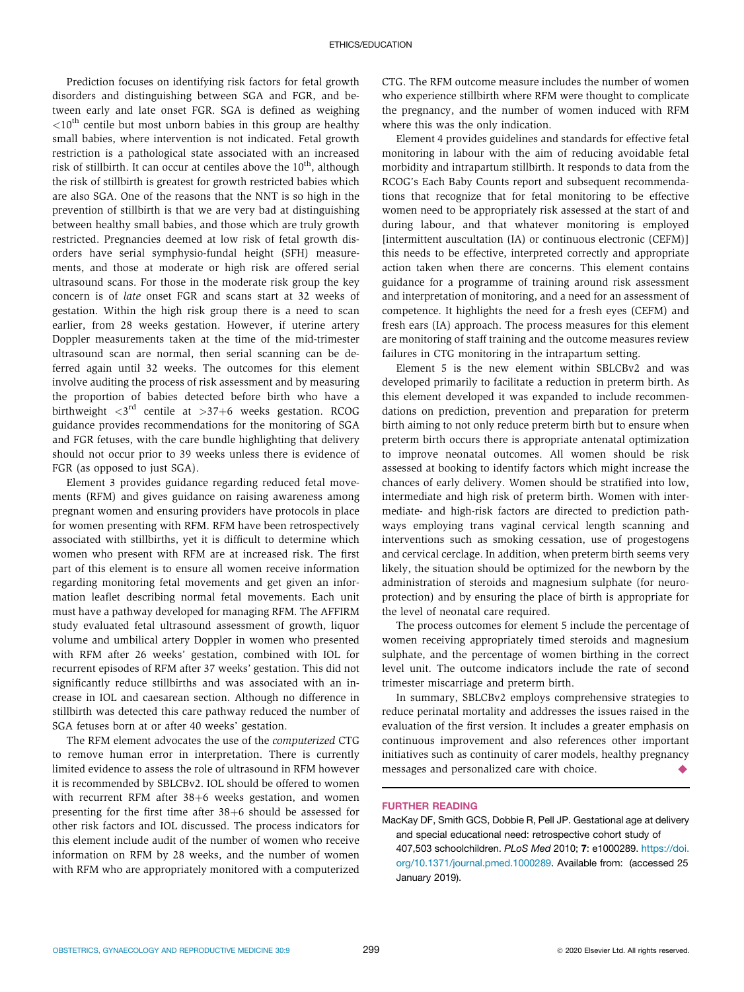Prediction focuses on identifying risk factors for fetal growth disorders and distinguishing between SGA and FGR, and between early and late onset FGR. SGA is defined as weighing  $\langle 10^{th}$  centile but most unborn babies in this group are healthy small babies, where intervention is not indicated. Fetal growth restriction is a pathological state associated with an increased risk of stillbirth. It can occur at centiles above the  $10<sup>th</sup>$ , although the risk of stillbirth is greatest for growth restricted babies which are also SGA. One of the reasons that the NNT is so high in the prevention of stillbirth is that we are very bad at distinguishing between healthy small babies, and those which are truly growth restricted. Pregnancies deemed at low risk of fetal growth disorders have serial symphysio-fundal height (SFH) measurements, and those at moderate or high risk are offered serial ultrasound scans. For those in the moderate risk group the key concern is of late onset FGR and scans start at 32 weeks of gestation. Within the high risk group there is a need to scan earlier, from 28 weeks gestation. However, if uterine artery Doppler measurements taken at the time of the mid-trimester ultrasound scan are normal, then serial scanning can be deferred again until 32 weeks. The outcomes for this element involve auditing the process of risk assessment and by measuring the proportion of babies detected before birth who have a birthweight  $\langle 3^{rd}$  centile at  $>37+6$  weeks gestation. RCOG guidance provides recommendations for the monitoring of SGA and FGR fetuses, with the care bundle highlighting that delivery should not occur prior to 39 weeks unless there is evidence of FGR (as opposed to just SGA).

Element 3 provides guidance regarding reduced fetal movements (RFM) and gives guidance on raising awareness among pregnant women and ensuring providers have protocols in place for women presenting with RFM. RFM have been retrospectively associated with stillbirths, yet it is difficult to determine which women who present with RFM are at increased risk. The first part of this element is to ensure all women receive information regarding monitoring fetal movements and get given an information leaflet describing normal fetal movements. Each unit must have a pathway developed for managing RFM. The AFFIRM study evaluated fetal ultrasound assessment of growth, liquor volume and umbilical artery Doppler in women who presented with RFM after 26 weeks' gestation, combined with IOL for recurrent episodes of RFM after 37 weeks' gestation. This did not significantly reduce stillbirths and was associated with an increase in IOL and caesarean section. Although no difference in stillbirth was detected this care pathway reduced the number of SGA fetuses born at or after 40 weeks' gestation.

The RFM element advocates the use of the computerized CTG to remove human error in interpretation. There is currently limited evidence to assess the role of ultrasound in RFM however it is recommended by SBLCBv2. IOL should be offered to women with recurrent RFM after  $38+6$  weeks gestation, and women presenting for the first time after  $38+6$  should be assessed for other risk factors and IOL discussed. The process indicators for this element include audit of the number of women who receive information on RFM by 28 weeks, and the number of women with RFM who are appropriately monitored with a computerized CTG. The RFM outcome measure includes the number of women who experience stillbirth where RFM were thought to complicate the pregnancy, and the number of women induced with RFM where this was the only indication.

Element 4 provides guidelines and standards for effective fetal monitoring in labour with the aim of reducing avoidable fetal morbidity and intrapartum stillbirth. It responds to data from the RCOG's Each Baby Counts report and subsequent recommendations that recognize that for fetal monitoring to be effective women need to be appropriately risk assessed at the start of and during labour, and that whatever monitoring is employed [intermittent auscultation (IA) or continuous electronic (CEFM)] this needs to be effective, interpreted correctly and appropriate action taken when there are concerns. This element contains guidance for a programme of training around risk assessment and interpretation of monitoring, and a need for an assessment of competence. It highlights the need for a fresh eyes (CEFM) and fresh ears (IA) approach. The process measures for this element are monitoring of staff training and the outcome measures review failures in CTG monitoring in the intrapartum setting.

Element 5 is the new element within SBLCBv2 and was developed primarily to facilitate a reduction in preterm birth. As this element developed it was expanded to include recommendations on prediction, prevention and preparation for preterm birth aiming to not only reduce preterm birth but to ensure when preterm birth occurs there is appropriate antenatal optimization to improve neonatal outcomes. All women should be risk assessed at booking to identify factors which might increase the chances of early delivery. Women should be stratified into low, intermediate and high risk of preterm birth. Women with intermediate- and high-risk factors are directed to prediction pathways employing trans vaginal cervical length scanning and interventions such as smoking cessation, use of progestogens and cervical cerclage. In addition, when preterm birth seems very likely, the situation should be optimized for the newborn by the administration of steroids and magnesium sulphate (for neuroprotection) and by ensuring the place of birth is appropriate for the level of neonatal care required.

The process outcomes for element 5 include the percentage of women receiving appropriately timed steroids and magnesium sulphate, and the percentage of women birthing in the correct level unit. The outcome indicators include the rate of second trimester miscarriage and preterm birth.

In summary, SBLCBv2 employs comprehensive strategies to reduce perinatal mortality and addresses the issues raised in the evaluation of the first version. It includes a greater emphasis on continuous improvement and also references other important initiatives such as continuity of carer models, healthy pregnancy messages and personalized care with choice.

## FURTHER READING

MacKay DF, Smith GCS, Dobbie R, Pell JP. Gestational age at delivery and special educational need: retrospective cohort study of 407,503 schoolchildren. *PLoS Med* 2010; 7: e1000289. [https://doi.](https://doi.org/10.1371/journal.pmed.1000289) [org/10.1371/journal.pmed.1000289](https://doi.org/10.1371/journal.pmed.1000289). Available from: (accessed 25 January 2019).